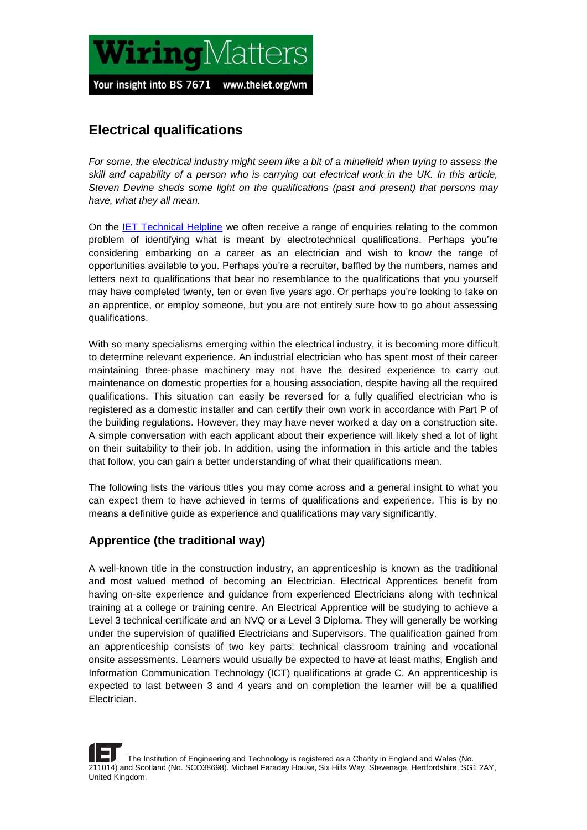

# **Electrical qualifications**

*For some, the electrical industry might seem like a bit of a minefield when trying to assess the skill and capability of a person who is carrying out electrical work in the UK. In this article, Steven Devine sheds some light on the qualifications (past and present) that persons may have, what they all mean.* 

On the [IET Technical Helpline](http://electrical.theiet.org/wiring-regulations/help/) we often receive a range of enquiries relating to the common problem of identifying what is meant by electrotechnical qualifications. Perhaps you're considering embarking on a career as an electrician and wish to know the range of opportunities available to you. Perhaps you're a recruiter, baffled by the numbers, names and letters next to qualifications that bear no resemblance to the qualifications that you yourself may have completed twenty, ten or even five years ago. Or perhaps you're looking to take on an apprentice, or employ someone, but you are not entirely sure how to go about assessing qualifications.

With so many specialisms emerging within the electrical industry, it is becoming more difficult to determine relevant experience. An industrial electrician who has spent most of their career maintaining three-phase machinery may not have the desired experience to carry out maintenance on domestic properties for a housing association, despite having all the required qualifications. This situation can easily be reversed for a fully qualified electrician who is registered as a domestic installer and can certify their own work in accordance with Part P of the building regulations. However, they may have never worked a day on a construction site. A simple conversation with each applicant about their experience will likely shed a lot of light on their suitability to their job. In addition, using the information in this article and the tables that follow, you can gain a better understanding of what their qualifications mean.

The following lists the various titles you may come across and a general insight to what you can expect them to have achieved in terms of qualifications and experience. This is by no means a definitive guide as experience and qualifications may vary significantly.

#### **Apprentice (the traditional way)**

A well-known title in the construction industry, an apprenticeship is known as the traditional and most valued method of becoming an Electrician. Electrical Apprentices benefit from having on-site experience and guidance from experienced Electricians along with technical training at a college or training centre. An Electrical Apprentice will be studying to achieve a Level 3 technical certificate and an NVQ or a Level 3 Diploma. They will generally be working under the supervision of qualified Electricians and Supervisors. The qualification gained from an apprenticeship consists of two key parts: technical classroom training and vocational onsite assessments. Learners would usually be expected to have at least maths, English and Information Communication Technology (ICT) qualifications at grade C. An apprenticeship is expected to last between 3 and 4 years and on completion the learner will be a qualified Electrician.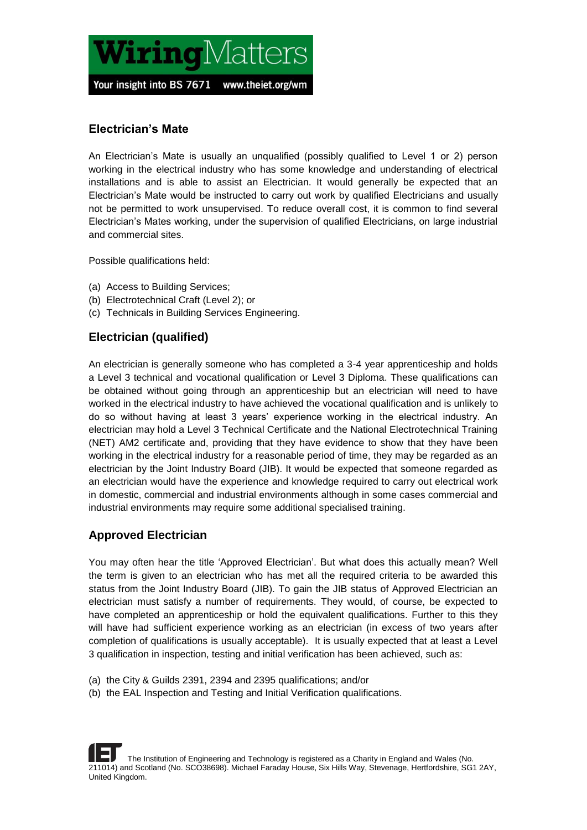

#### **Electrician's Mate**

An Electrician's Mate is usually an unqualified (possibly qualified to Level 1 or 2) person working in the electrical industry who has some knowledge and understanding of electrical installations and is able to assist an Electrician. It would generally be expected that an Electrician's Mate would be instructed to carry out work by qualified Electricians and usually not be permitted to work unsupervised. To reduce overall cost, it is common to find several Electrician's Mates working, under the supervision of qualified Electricians, on large industrial and commercial sites.

Possible qualifications held:

- (a) Access to Building Services;
- (b) Electrotechnical Craft (Level 2); or
- (c) Technicals in Building Services Engineering.

#### **Electrician (qualified)**

An electrician is generally someone who has completed a 3-4 year apprenticeship and holds a Level 3 technical and vocational qualification or Level 3 Diploma. These qualifications can be obtained without going through an apprenticeship but an electrician will need to have worked in the electrical industry to have achieved the vocational qualification and is unlikely to do so without having at least 3 years' experience working in the electrical industry. An electrician may hold a Level 3 Technical Certificate and the National Electrotechnical Training (NET) AM2 certificate and, providing that they have evidence to show that they have been working in the electrical industry for a reasonable period of time, they may be regarded as an electrician by the Joint Industry Board (JIB). It would be expected that someone regarded as an electrician would have the experience and knowledge required to carry out electrical work in domestic, commercial and industrial environments although in some cases commercial and industrial environments may require some additional specialised training.

#### **Approved Electrician**

You may often hear the title 'Approved Electrician'. But what does this actually mean? Well the term is given to an electrician who has met all the required criteria to be awarded this status from the Joint Industry Board (JIB). To gain the JIB status of Approved Electrician an electrician must satisfy a number of requirements. They would, of course, be expected to have completed an apprenticeship or hold the equivalent qualifications. Further to this they will have had sufficient experience working as an electrician (in excess of two years after completion of qualifications is usually acceptable). It is usually expected that at least a Level 3 qualification in inspection, testing and initial verification has been achieved, such as:

- (a) the City & Guilds 2391, 2394 and 2395 qualifications; and/or
- (b) the EAL Inspection and Testing and Initial Verification qualifications.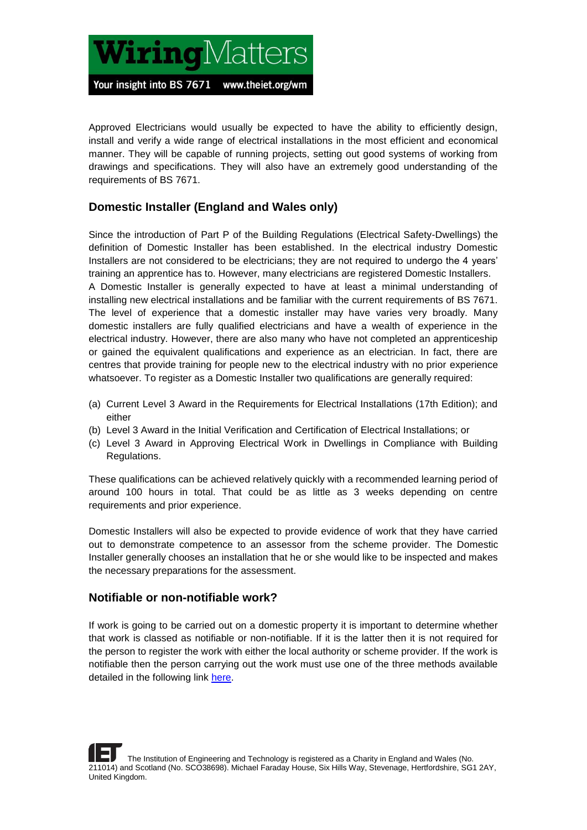

Approved Electricians would usually be expected to have the ability to efficiently design, install and verify a wide range of electrical installations in the most efficient and economical manner. They will be capable of running projects, setting out good systems of working from drawings and specifications. They will also have an extremely good understanding of the requirements of BS 7671.

#### **Domestic Installer (England and Wales only)**

Since the introduction of Part P of the Building Regulations (Electrical Safety-Dwellings) the definition of Domestic Installer has been established. In the electrical industry Domestic Installers are not considered to be electricians; they are not required to undergo the 4 years' training an apprentice has to. However, many electricians are registered Domestic Installers. A Domestic Installer is generally expected to have at least a minimal understanding of installing new electrical installations and be familiar with the current requirements of BS 7671. The level of experience that a domestic installer may have varies very broadly. Many domestic installers are fully qualified electricians and have a wealth of experience in the electrical industry. However, there are also many who have not completed an apprenticeship or gained the equivalent qualifications and experience as an electrician. In fact, there are centres that provide training for people new to the electrical industry with no prior experience whatsoever. To register as a Domestic Installer two qualifications are generally required:

- (a) Current Level 3 Award in the Requirements for Electrical Installations (17th Edition); and either
- (b) Level 3 Award in the Initial Verification and Certification of Electrical Installations; or
- (c) Level 3 Award in Approving Electrical Work in Dwellings in Compliance with Building Regulations.

These qualifications can be achieved relatively quickly with a recommended learning period of around 100 hours in total. That could be as little as 3 weeks depending on centre requirements and prior experience.

Domestic Installers will also be expected to provide evidence of work that they have carried out to demonstrate competence to an assessor from the scheme provider. The Domestic Installer generally chooses an installation that he or she would like to be inspected and makes the necessary preparations for the assessment.

#### **Notifiable or non-notifiable work?**

If work is going to be carried out on a domestic property it is important to determine whether that work is classed as notifiable or non-notifiable. If it is the latter then it is not required for the person to register the work with either the local authority or scheme provider. If the work is notifiable then the person carrying out the work must use one of the three methods available detailed in the following link [here.](https://www.gov.uk/government/uploads/system/uploads/attachment_data/file/441872/BR_PDF_AD_P_2013.pdf)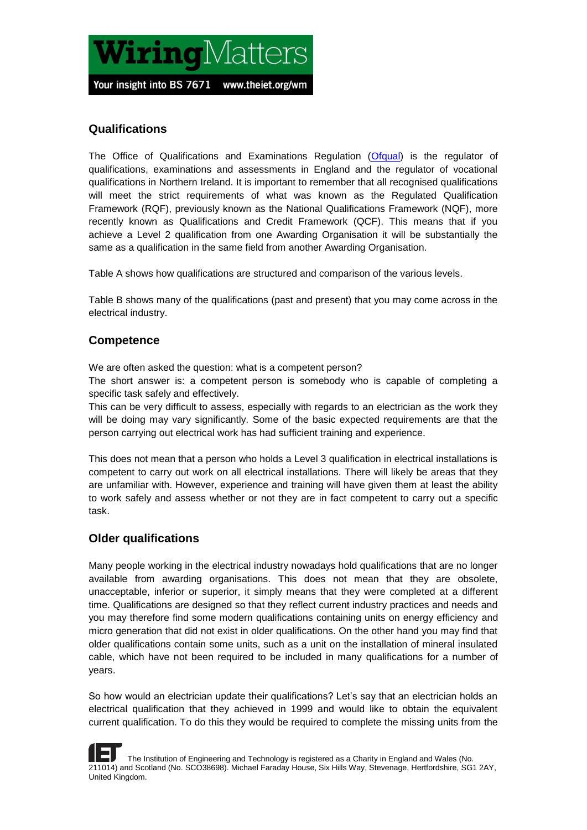

#### **Qualifications**

The Office of Qualifications and Examinations Regulation [\(Ofqual\)](https://www.gov.uk/government/organisations/ofqual) is the regulator of qualifications, examinations and assessments in England and the regulator of vocational qualifications in Northern Ireland. It is important to remember that all recognised qualifications will meet the strict requirements of what was known as the Regulated Qualification Framework (RQF), previously known as the National Qualifications Framework (NQF), more recently known as Qualifications and Credit Framework (QCF). This means that if you achieve a Level 2 qualification from one Awarding Organisation it will be substantially the same as a qualification in the same field from another Awarding Organisation.

Table A shows how qualifications are structured and comparison of the various levels.

Table B shows many of the qualifications (past and present) that you may come across in the electrical industry.

#### **Competence**

We are often asked the question: what is a competent person?

The short answer is: a competent person is somebody who is capable of completing a specific task safely and effectively.

This can be very difficult to assess, especially with regards to an electrician as the work they will be doing may vary significantly. Some of the basic expected requirements are that the person carrying out electrical work has had sufficient training and experience.

This does not mean that a person who holds a Level 3 qualification in electrical installations is competent to carry out work on all electrical installations. There will likely be areas that they are unfamiliar with. However, experience and training will have given them at least the ability to work safely and assess whether or not they are in fact competent to carry out a specific task.

#### **Older qualifications**

Many people working in the electrical industry nowadays hold qualifications that are no longer available from awarding organisations. This does not mean that they are obsolete, unacceptable, inferior or superior, it simply means that they were completed at a different time. Qualifications are designed so that they reflect current industry practices and needs and you may therefore find some modern qualifications containing units on energy efficiency and micro generation that did not exist in older qualifications. On the other hand you may find that older qualifications contain some units, such as a unit on the installation of mineral insulated cable, which have not been required to be included in many qualifications for a number of years.

So how would an electrician update their qualifications? Let's say that an electrician holds an electrical qualification that they achieved in 1999 and would like to obtain the equivalent current qualification. To do this they would be required to complete the missing units from the

 The Institution of Engineering and Technology is registered as a Charity in England and Wales (No. 211014) and Scotland (No. SCO38698). Michael Faraday House, Six Hills Way, Stevenage, Hertfordshire, SG1 2AY, United Kingdom.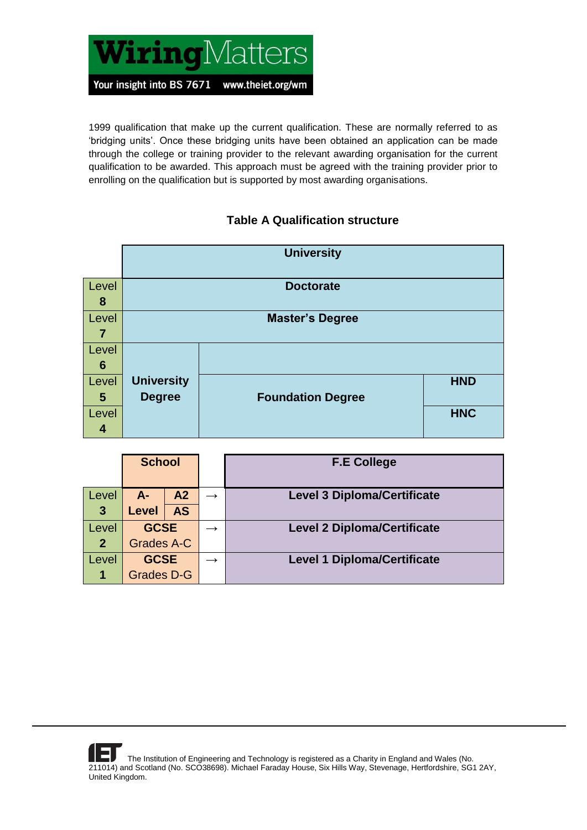

1999 qualification that make up the current qualification. These are normally referred to as 'bridging units'. Once these bridging units have been obtained an application can be made through the college or training provider to the relevant awarding organisation for the current qualification to be awarded. This approach must be agreed with the training provider prior to enrolling on the qualification but is supported by most awarding organisations.

## **Table A Qualification structure**

|                 |                   | <b>University</b>        |            |
|-----------------|-------------------|--------------------------|------------|
|                 |                   |                          |            |
| Level           |                   | <b>Doctorate</b>         |            |
| 8               |                   |                          |            |
| Level           |                   | <b>Master's Degree</b>   |            |
| 7               |                   |                          |            |
| Level           |                   |                          |            |
| $6\phantom{1}6$ |                   |                          |            |
| Level           | <b>University</b> |                          | <b>HND</b> |
| $5\phantom{.0}$ | <b>Degree</b>     | <b>Foundation Degree</b> |            |
| Level           |                   |                          | <b>HNC</b> |
| 4               |                   |                          |            |

|              | <b>School</b>     |                |               |                                    |  | <b>F.E College</b> |
|--------------|-------------------|----------------|---------------|------------------------------------|--|--------------------|
| Level        | $A-$              | A <sub>2</sub> | $\rightarrow$ | <b>Level 3 Diploma/Certificate</b> |  |                    |
| $\mathbf{3}$ | <b>Level</b>      | <b>AS</b>      |               |                                    |  |                    |
| Level        | <b>GCSE</b>       |                | $\rightarrow$ | <b>Level 2 Diploma/Certificate</b> |  |                    |
| $\mathbf 2$  | Grades A-C        |                |               |                                    |  |                    |
| Level        | <b>GCSE</b>       |                |               | <b>Level 1 Diploma/Certificate</b> |  |                    |
|              | <b>Grades D-G</b> |                |               |                                    |  |                    |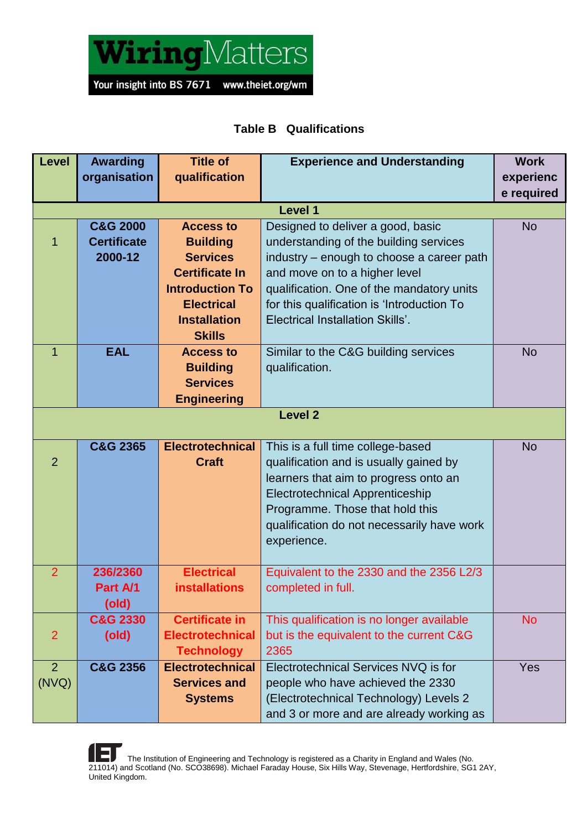

## **Table B Qualifications**

| Level          | <b>Awarding</b>     | <b>Title of</b>         | <b>Experience and Understanding</b>        | <b>Work</b> |  |  |
|----------------|---------------------|-------------------------|--------------------------------------------|-------------|--|--|
|                | organisation        | qualification           |                                            | experienc   |  |  |
|                |                     |                         |                                            | e required  |  |  |
| <b>Level 1</b> |                     |                         |                                            |             |  |  |
|                | <b>C&amp;G 2000</b> | <b>Access to</b>        | Designed to deliver a good, basic          | <b>No</b>   |  |  |
|                | <b>Certificate</b>  | <b>Building</b>         | understanding of the building services     |             |  |  |
|                | 2000-12             | <b>Services</b>         | industry – enough to choose a career path  |             |  |  |
|                |                     | <b>Certificate In</b>   | and move on to a higher level              |             |  |  |
|                |                     | <b>Introduction To</b>  | qualification. One of the mandatory units  |             |  |  |
|                |                     | <b>Electrical</b>       | for this qualification is 'Introduction To |             |  |  |
|                |                     | <b>Installation</b>     | <b>Electrical Installation Skills'.</b>    |             |  |  |
|                |                     | <b>Skills</b>           |                                            |             |  |  |
| 1              | <b>EAL</b>          | <b>Access to</b>        | Similar to the C&G building services       | <b>No</b>   |  |  |
|                |                     | <b>Building</b>         | qualification.                             |             |  |  |
|                |                     | <b>Services</b>         |                                            |             |  |  |
|                |                     | <b>Engineering</b>      |                                            |             |  |  |
|                |                     |                         | <b>Level 2</b>                             |             |  |  |
|                |                     |                         |                                            |             |  |  |
|                | <b>C&amp;G 2365</b> | <b>Electrotechnical</b> | This is a full time college-based          | <b>No</b>   |  |  |
| $\overline{2}$ |                     | <b>Craft</b>            | qualification and is usually gained by     |             |  |  |
|                |                     |                         | learners that aim to progress onto an      |             |  |  |
|                |                     |                         | <b>Electrotechnical Apprenticeship</b>     |             |  |  |
|                |                     |                         | Programme. Those that hold this            |             |  |  |
|                |                     |                         | qualification do not necessarily have work |             |  |  |
|                |                     |                         | experience.                                |             |  |  |
|                |                     |                         |                                            |             |  |  |
| $\overline{2}$ | 236/2360            | <b>Electrical</b>       | Equivalent to the 2330 and the 2356 L2/3   |             |  |  |
|                | Part A/1            | <b>installations</b>    | completed in full.                         |             |  |  |
|                | (old)               |                         |                                            |             |  |  |
|                | C&G 2330            | <b>Certificate in</b>   | This qualification is no longer available  | <b>No</b>   |  |  |
| $\overline{2}$ | (old)               | <b>Electrotechnical</b> | but is the equivalent to the current C&G   |             |  |  |
|                |                     | <b>Technology</b>       | 2365                                       |             |  |  |
| $\overline{2}$ | <b>C&amp;G 2356</b> | <b>Electrotechnical</b> | Electrotechnical Services NVQ is for       | Yes         |  |  |
| (NVQ)          |                     | <b>Services and</b>     | people who have achieved the 2330          |             |  |  |
|                |                     | <b>Systems</b>          | (Electrotechnical Technology) Levels 2     |             |  |  |
|                |                     |                         | and 3 or more and are already working as   |             |  |  |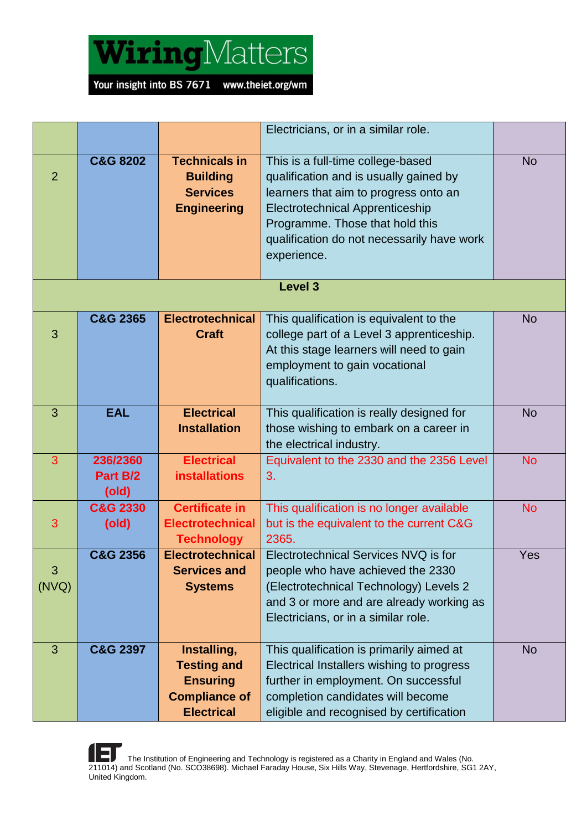

|                |                               |                                                                                                   | Electricians, or in a similar role.                                                                                                                                                                                                                            |           |
|----------------|-------------------------------|---------------------------------------------------------------------------------------------------|----------------------------------------------------------------------------------------------------------------------------------------------------------------------------------------------------------------------------------------------------------------|-----------|
| $\overline{2}$ | <b>C&amp;G 8202</b>           | <b>Technicals in</b><br><b>Building</b><br><b>Services</b><br><b>Engineering</b>                  | This is a full-time college-based<br>qualification and is usually gained by<br>learners that aim to progress onto an<br><b>Electrotechnical Apprenticeship</b><br>Programme. Those that hold this<br>qualification do not necessarily have work<br>experience. | <b>No</b> |
|                |                               |                                                                                                   | Level 3                                                                                                                                                                                                                                                        |           |
| 3              | <b>C&amp;G 2365</b>           | <b>Electrotechnical</b><br><b>Craft</b>                                                           | This qualification is equivalent to the<br>college part of a Level 3 apprenticeship.<br>At this stage learners will need to gain<br>employment to gain vocational<br>qualifications.                                                                           | <b>No</b> |
| 3              | <b>EAL</b>                    | <b>Electrical</b><br><b>Installation</b>                                                          | This qualification is really designed for<br>those wishing to embark on a career in<br>the electrical industry.                                                                                                                                                | <b>No</b> |
| 3              | 236/2360<br>Part B/2<br>(old) | <b>Electrical</b><br><b>installations</b>                                                         | Equivalent to the 2330 and the 2356 Level<br>3.                                                                                                                                                                                                                | <b>No</b> |
| 3              | <b>C&amp;G 2330</b><br>(old)  | <b>Certificate in</b><br><b>Electrotechnical</b><br><b>Technology</b>                             | This qualification is no longer available<br>but is the equivalent to the current C&G<br>2365.                                                                                                                                                                 | <b>No</b> |
| 3<br>(NVQ)     | <b>C&amp;G 2356</b>           | <b>Electrotechnical</b><br><b>Services and</b><br><b>Systems</b>                                  | Electrotechnical Services NVQ is for<br>people who have achieved the 2330<br>(Electrotechnical Technology) Levels 2<br>and 3 or more and are already working as<br>Electricians, or in a similar role.                                                         | Yes       |
| 3              | <b>C&amp;G 2397</b>           | Installing,<br><b>Testing and</b><br><b>Ensuring</b><br><b>Compliance of</b><br><b>Electrical</b> | This qualification is primarily aimed at<br>Electrical Installers wishing to progress<br>further in employment. On successful<br>completion candidates will become<br>eligible and recognised by certification                                                 | <b>No</b> |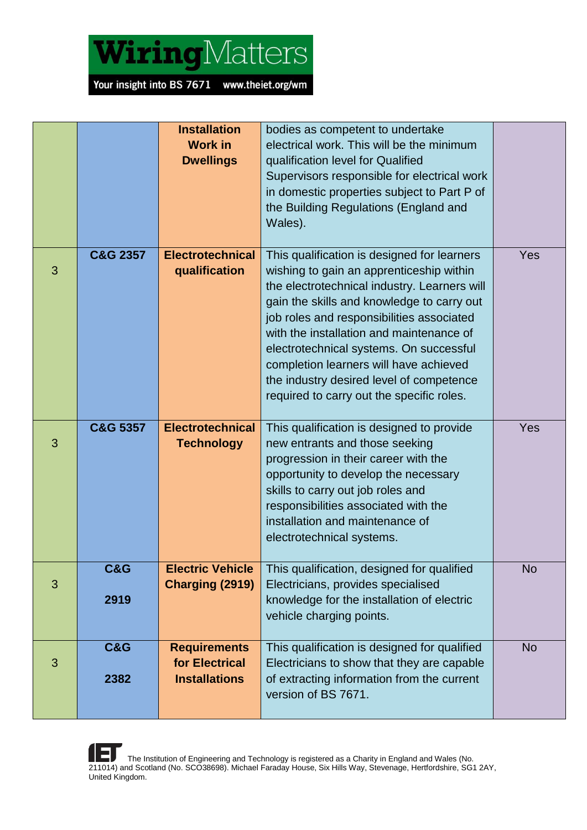

|   |                        | <b>Installation</b><br><b>Work in</b><br><b>Dwellings</b>     | bodies as competent to undertake<br>electrical work. This will be the minimum<br>qualification level for Qualified<br>Supervisors responsible for electrical work<br>in domestic properties subject to Part P of<br>the Building Regulations (England and<br>Wales).                                                                                                                                                                                         |           |
|---|------------------------|---------------------------------------------------------------|--------------------------------------------------------------------------------------------------------------------------------------------------------------------------------------------------------------------------------------------------------------------------------------------------------------------------------------------------------------------------------------------------------------------------------------------------------------|-----------|
| 3 | <b>C&amp;G 2357</b>    | <b>Electrotechnical</b><br>qualification                      | This qualification is designed for learners<br>wishing to gain an apprenticeship within<br>the electrotechnical industry. Learners will<br>gain the skills and knowledge to carry out<br>job roles and responsibilities associated<br>with the installation and maintenance of<br>electrotechnical systems. On successful<br>completion learners will have achieved<br>the industry desired level of competence<br>required to carry out the specific roles. | Yes       |
| 3 | <b>C&amp;G 5357</b>    | <b>Electrotechnical</b><br><b>Technology</b>                  | This qualification is designed to provide<br>new entrants and those seeking<br>progression in their career with the<br>opportunity to develop the necessary<br>skills to carry out job roles and<br>responsibilities associated with the<br>installation and maintenance of<br>electrotechnical systems.                                                                                                                                                     | Yes       |
| 3 | <b>C&amp;G</b><br>2919 | <b>Electric Vehicle</b><br>Charging (2919)                    | This qualification, designed for qualified<br>Electricians, provides specialised<br>knowledge for the installation of electric<br>vehicle charging points.                                                                                                                                                                                                                                                                                                   | <b>No</b> |
| 3 | <b>C&amp;G</b><br>2382 | <b>Requirements</b><br>for Electrical<br><b>Installations</b> | This qualification is designed for qualified<br>Electricians to show that they are capable<br>of extracting information from the current<br>version of BS 7671.                                                                                                                                                                                                                                                                                              | <b>No</b> |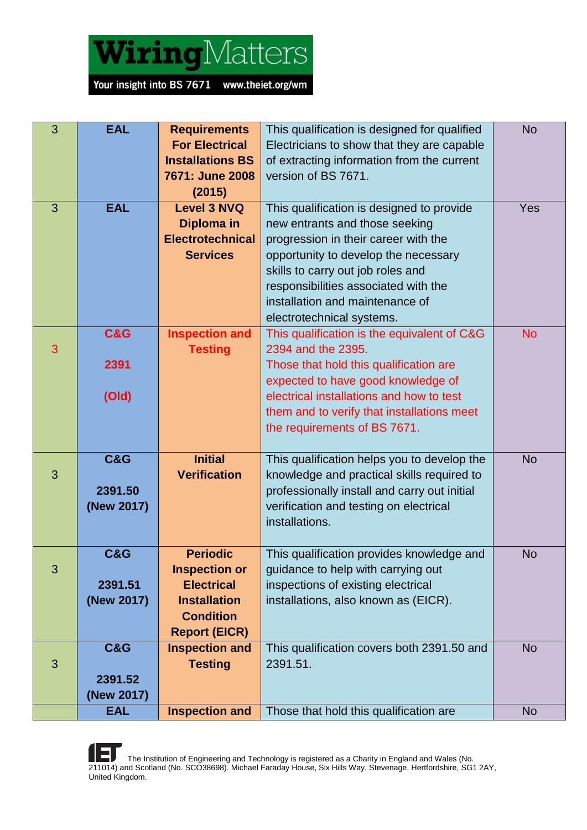

| 3 | <b>EAL</b>     | <b>Requirements</b>     | This qualification is designed for qualified | <b>No</b> |
|---|----------------|-------------------------|----------------------------------------------|-----------|
|   |                | <b>For Electrical</b>   | Electricians to show that they are capable   |           |
|   |                | <b>Installations BS</b> | of extracting information from the current   |           |
|   |                | 7671: June 2008         | version of BS 7671.                          |           |
|   |                | (2015)                  |                                              |           |
| 3 | <b>EAL</b>     | <b>Level 3 NVQ</b>      | This qualification is designed to provide    | Yes       |
|   |                | Diploma in              | new entrants and those seeking               |           |
|   |                | <b>Electrotechnical</b> | progression in their career with the         |           |
|   |                | <b>Services</b>         | opportunity to develop the necessary         |           |
|   |                |                         | skills to carry out job roles and            |           |
|   |                |                         | responsibilities associated with the         |           |
|   |                |                         | installation and maintenance of              |           |
|   |                |                         | electrotechnical systems.                    |           |
|   | C&G            | <b>Inspection and</b>   | This qualification is the equivalent of C&G  | <b>No</b> |
| 3 |                | <b>Testing</b>          | 2394 and the 2395.                           |           |
|   | 2391           |                         | Those that hold this qualification are       |           |
|   |                |                         | expected to have good knowledge of           |           |
|   | (Old)          |                         | electrical installations and how to test     |           |
|   |                |                         | them and to verify that installations meet   |           |
|   |                |                         | the requirements of BS 7671.                 |           |
|   |                |                         |                                              |           |
|   | <b>C&amp;G</b> | <b>Initial</b>          | This qualification helps you to develop the  | <b>No</b> |
| 3 |                | <b>Verification</b>     | knowledge and practical skills required to   |           |
|   | 2391.50        |                         | professionally install and carry out initial |           |
|   | (New 2017)     |                         | verification and testing on electrical       |           |
|   |                |                         | installations.                               |           |
|   |                |                         |                                              |           |
|   | <b>C&amp;G</b> | <b>Periodic</b>         | This qualification provides knowledge and    | <b>No</b> |
| 3 |                | <b>Inspection or</b>    | guidance to help with carrying out           |           |
|   | 2391.51        | <b>Electrical</b>       | inspections of existing electrical           |           |
|   | (New 2017)     | <b>Installation</b>     | installations, also known as (EICR).         |           |
|   |                | <b>Condition</b>        |                                              |           |
|   |                | <b>Report (EICR)</b>    |                                              |           |
|   | <b>C&amp;G</b> | <b>Inspection and</b>   | This qualification covers both 2391.50 and   | <b>No</b> |
| 3 |                | <b>Testing</b>          | 2391.51.                                     |           |
|   | 2391.52        |                         |                                              |           |
|   | (New 2017)     |                         |                                              |           |
|   | <b>EAL</b>     | <b>Inspection and</b>   | Those that hold this qualification are       | <b>No</b> |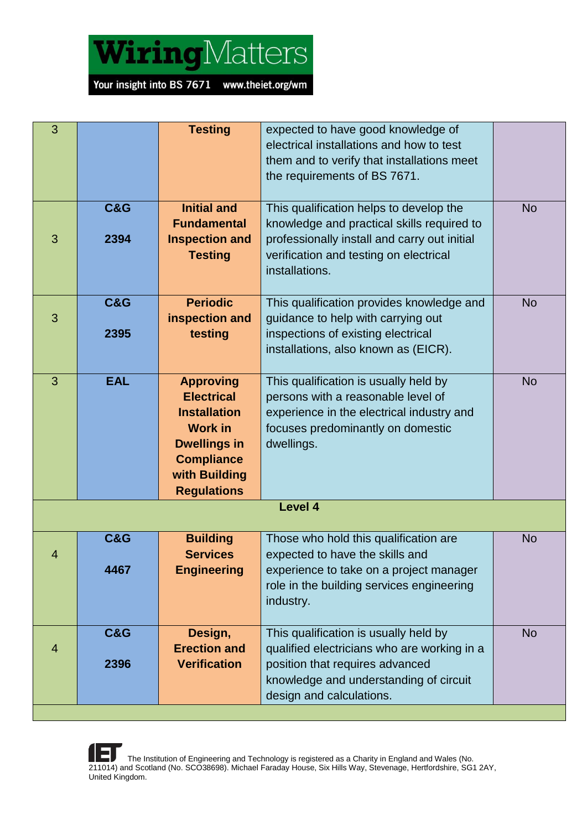

| 3              |                | <b>Testing</b>                           | expected to have good knowledge of<br>electrical installations and how to test             |           |
|----------------|----------------|------------------------------------------|--------------------------------------------------------------------------------------------|-----------|
|                |                |                                          | them and to verify that installations meet                                                 |           |
|                |                |                                          | the requirements of BS 7671.                                                               |           |
|                |                |                                          |                                                                                            |           |
|                | <b>C&amp;G</b> | <b>Initial and</b><br><b>Fundamental</b> | This qualification helps to develop the                                                    | <b>No</b> |
| 3              | 2394           | <b>Inspection and</b>                    | knowledge and practical skills required to<br>professionally install and carry out initial |           |
|                |                | <b>Testing</b>                           | verification and testing on electrical                                                     |           |
|                |                |                                          | installations.                                                                             |           |
|                |                |                                          |                                                                                            |           |
| 3              | <b>C&amp;G</b> | <b>Periodic</b><br>inspection and        | This qualification provides knowledge and<br>guidance to help with carrying out            | <b>No</b> |
|                | 2395           | testing                                  | inspections of existing electrical                                                         |           |
|                |                |                                          | installations, also known as (EICR).                                                       |           |
|                |                |                                          |                                                                                            |           |
| 3              | <b>EAL</b>     | <b>Approving</b><br><b>Electrical</b>    | This qualification is usually held by<br>persons with a reasonable level of                | <b>No</b> |
|                |                | <b>Installation</b>                      | experience in the electrical industry and                                                  |           |
|                |                | <b>Work in</b>                           | focuses predominantly on domestic                                                          |           |
|                |                | <b>Dwellings in</b>                      | dwellings.                                                                                 |           |
|                |                | <b>Compliance</b>                        |                                                                                            |           |
|                |                | with Building<br><b>Regulations</b>      |                                                                                            |           |
|                |                |                                          | <b>Level 4</b>                                                                             |           |
|                |                |                                          |                                                                                            |           |
|                | <b>C&amp;G</b> | <b>Building</b>                          | Those who hold this qualification are                                                      | <b>No</b> |
| 4              | 4467           | <b>Services</b><br><b>Engineering</b>    | expected to have the skills and<br>experience to take on a project manager                 |           |
|                |                |                                          | role in the building services engineering                                                  |           |
|                |                |                                          | industry.                                                                                  |           |
|                |                |                                          |                                                                                            |           |
|                | <b>C&amp;G</b> | Design,<br><b>Erection and</b>           | This qualification is usually held by                                                      | <b>No</b> |
| $\overline{4}$ | 2396           | <b>Verification</b>                      | qualified electricians who are working in a<br>position that requires advanced             |           |
|                |                |                                          | knowledge and understanding of circuit                                                     |           |
|                |                |                                          | design and calculations.                                                                   |           |
|                |                |                                          |                                                                                            |           |